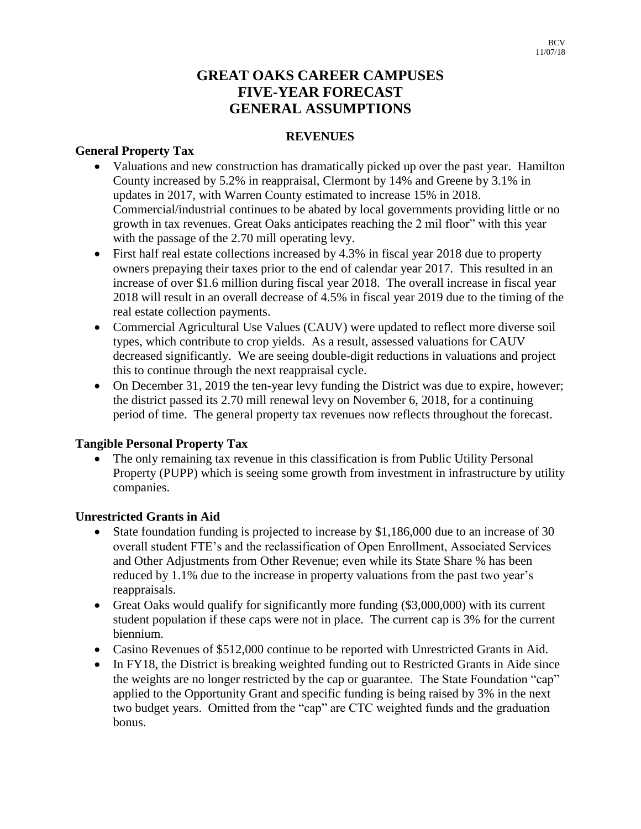# **GREAT OAKS CAREER CAMPUSES FIVE-YEAR FORECAST GENERAL ASSUMPTIONS**

## **REVENUES**

## **General Property Tax**

- Valuations and new construction has dramatically picked up over the past year. Hamilton County increased by 5.2% in reappraisal, Clermont by 14% and Greene by 3.1% in updates in 2017, with Warren County estimated to increase 15% in 2018. Commercial/industrial continues to be abated by local governments providing little or no growth in tax revenues. Great Oaks anticipates reaching the 2 mil floor" with this year with the passage of the 2.70 mill operating levy.
- First half real estate collections increased by 4.3% in fiscal year 2018 due to property owners prepaying their taxes prior to the end of calendar year 2017. This resulted in an increase of over \$1.6 million during fiscal year 2018. The overall increase in fiscal year 2018 will result in an overall decrease of 4.5% in fiscal year 2019 due to the timing of the real estate collection payments.
- Commercial Agricultural Use Values (CAUV) were updated to reflect more diverse soil types, which contribute to crop yields. As a result, assessed valuations for CAUV decreased significantly. We are seeing double-digit reductions in valuations and project this to continue through the next reappraisal cycle.
- On December 31, 2019 the ten-year levy funding the District was due to expire, however; the district passed its 2.70 mill renewal levy on November 6, 2018, for a continuing period of time. The general property tax revenues now reflects throughout the forecast.

## **Tangible Personal Property Tax**

• The only remaining tax revenue in this classification is from Public Utility Personal Property (PUPP) which is seeing some growth from investment in infrastructure by utility companies.

## **Unrestricted Grants in Aid**

- State foundation funding is projected to increase by \$1,186,000 due to an increase of 30 overall student FTE's and the reclassification of Open Enrollment, Associated Services and Other Adjustments from Other Revenue; even while its State Share % has been reduced by 1.1% due to the increase in property valuations from the past two year's reappraisals.
- Great Oaks would qualify for significantly more funding (\$3,000,000) with its current student population if these caps were not in place. The current cap is 3% for the current biennium.
- Casino Revenues of \$512,000 continue to be reported with Unrestricted Grants in Aid.
- In FY18, the District is breaking weighted funding out to Restricted Grants in Aide since the weights are no longer restricted by the cap or guarantee. The State Foundation "cap" applied to the Opportunity Grant and specific funding is being raised by 3% in the next two budget years. Omitted from the "cap" are CTC weighted funds and the graduation bonus.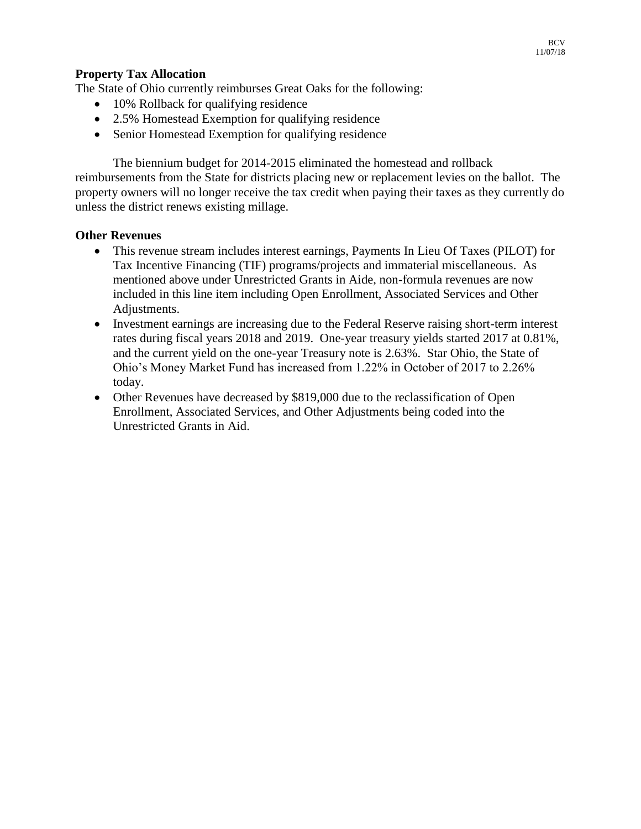### **Property Tax Allocation**

The State of Ohio currently reimburses Great Oaks for the following:

- 10% Rollback for qualifying residence
- 2.5% Homestead Exemption for qualifying residence
- Senior Homestead Exemption for qualifying residence

The biennium budget for 2014-2015 eliminated the homestead and rollback reimbursements from the State for districts placing new or replacement levies on the ballot. The property owners will no longer receive the tax credit when paying their taxes as they currently do unless the district renews existing millage.

#### **Other Revenues**

- This revenue stream includes interest earnings, Payments In Lieu Of Taxes (PILOT) for Tax Incentive Financing (TIF) programs/projects and immaterial miscellaneous. As mentioned above under Unrestricted Grants in Aide, non-formula revenues are now included in this line item including Open Enrollment, Associated Services and Other Adjustments.
- Investment earnings are increasing due to the Federal Reserve raising short-term interest rates during fiscal years 2018 and 2019. One-year treasury yields started 2017 at 0.81%, and the current yield on the one-year Treasury note is 2.63%. Star Ohio, the State of Ohio's Money Market Fund has increased from 1.22% in October of 2017 to 2.26% today.
- Other Revenues have decreased by \$819,000 due to the reclassification of Open Enrollment, Associated Services, and Other Adjustments being coded into the Unrestricted Grants in Aid.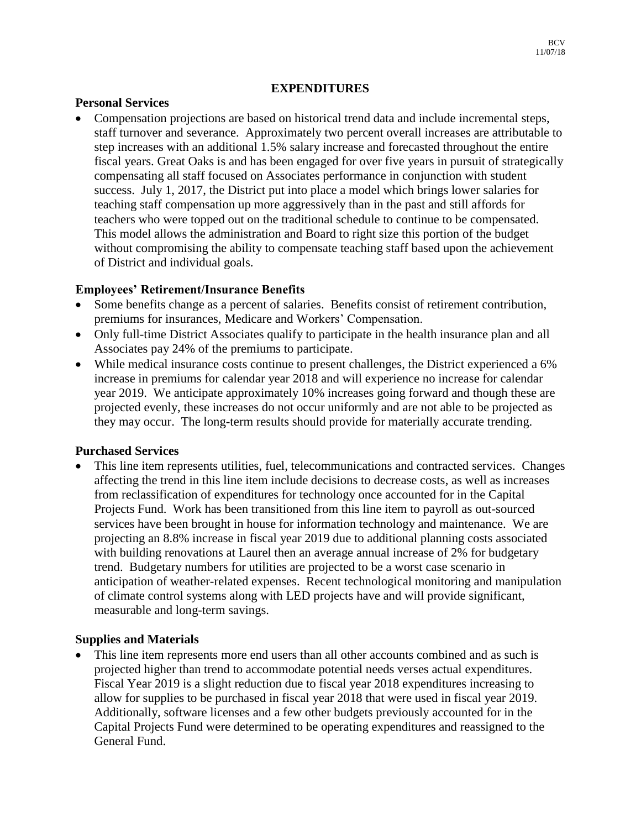#### **EXPENDITURES**

#### **Personal Services**

 Compensation projections are based on historical trend data and include incremental steps, staff turnover and severance. Approximately two percent overall increases are attributable to step increases with an additional 1.5% salary increase and forecasted throughout the entire fiscal years. Great Oaks is and has been engaged for over five years in pursuit of strategically compensating all staff focused on Associates performance in conjunction with student success. July 1, 2017, the District put into place a model which brings lower salaries for teaching staff compensation up more aggressively than in the past and still affords for teachers who were topped out on the traditional schedule to continue to be compensated. This model allows the administration and Board to right size this portion of the budget without compromising the ability to compensate teaching staff based upon the achievement of District and individual goals.

## **Employees' Retirement/Insurance Benefits**

- Some benefits change as a percent of salaries. Benefits consist of retirement contribution, premiums for insurances, Medicare and Workers' Compensation.
- Only full-time District Associates qualify to participate in the health insurance plan and all Associates pay 24% of the premiums to participate.
- While medical insurance costs continue to present challenges, the District experienced a 6% increase in premiums for calendar year 2018 and will experience no increase for calendar year 2019. We anticipate approximately 10% increases going forward and though these are projected evenly, these increases do not occur uniformly and are not able to be projected as they may occur. The long-term results should provide for materially accurate trending.

#### **Purchased Services**

 This line item represents utilities, fuel, telecommunications and contracted services. Changes affecting the trend in this line item include decisions to decrease costs, as well as increases from reclassification of expenditures for technology once accounted for in the Capital Projects Fund. Work has been transitioned from this line item to payroll as out-sourced services have been brought in house for information technology and maintenance. We are projecting an 8.8% increase in fiscal year 2019 due to additional planning costs associated with building renovations at Laurel then an average annual increase of 2% for budgetary trend. Budgetary numbers for utilities are projected to be a worst case scenario in anticipation of weather-related expenses. Recent technological monitoring and manipulation of climate control systems along with LED projects have and will provide significant, measurable and long-term savings.

## **Supplies and Materials**

 This line item represents more end users than all other accounts combined and as such is projected higher than trend to accommodate potential needs verses actual expenditures. Fiscal Year 2019 is a slight reduction due to fiscal year 2018 expenditures increasing to allow for supplies to be purchased in fiscal year 2018 that were used in fiscal year 2019. Additionally, software licenses and a few other budgets previously accounted for in the Capital Projects Fund were determined to be operating expenditures and reassigned to the General Fund.